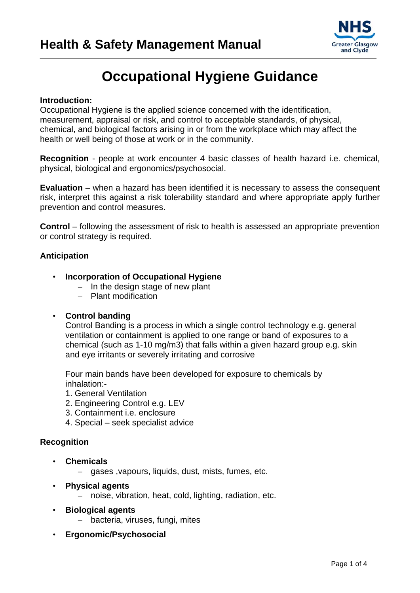

## **Occupational Hygiene Guidance**

### **Introduction:**

Occupational Hygiene is the applied science concerned with the identification, measurement, appraisal or risk, and control to acceptable standards, of physical, chemical, and biological factors arising in or from the workplace which may affect the health or well being of those at work or in the community.

**Recognition** - people at work encounter 4 basic classes of health hazard i.e. chemical, physical, biological and ergonomics/psychosocial.

**Evaluation** – when a hazard has been identified it is necessary to assess the consequent risk, interpret this against a risk tolerability standard and where appropriate apply further prevention and control measures.

**Control** – following the assessment of risk to health is assessed an appropriate prevention or control strategy is required.

### **Anticipation**

### • **Incorporation of Occupational Hygiene**

- In the design stage of new plant
- Plant modification

### • **Control banding**

 Control Banding is a process in which a single control technology e.g. general ventilation or containment is applied to one range or band of exposures to a chemical (such as 1-10 mg/m3) that falls within a given hazard group e.g. skin and eye irritants or severely irritating and corrosive

 Four main bands have been developed for exposure to chemicals by inhalation:-

- 1. General Ventilation
- 2. Engineering Control e.g. LEV
- 3. Containment i.e. enclosure
- 4. Special seek specialist advice

### **Recognition**

- **Chemicals** 
	- gases ,vapours, liquids, dust, mists, fumes, etc.
- **Physical agents** 
	- noise, vibration, heat, cold, lighting, radiation, etc.
- **Biological agents** 
	- bacteria, viruses, fungi, mites
- **Ergonomic/Psychosocial**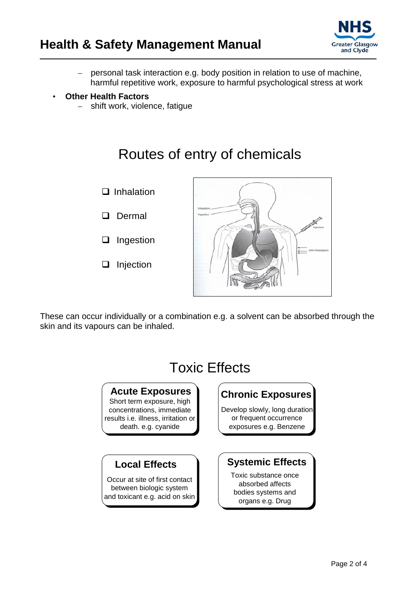

– personal task interaction e.g. body position in relation to use of machine, harmful repetitive work, exposure to harmful psychological stress at work

### • **Other Health Factors**

– shift work, violence, fatigue

# Routes of entry of chemicals



These can occur individually or a combination e.g. a solvent can be absorbed through the skin and its vapours can be inhaled.

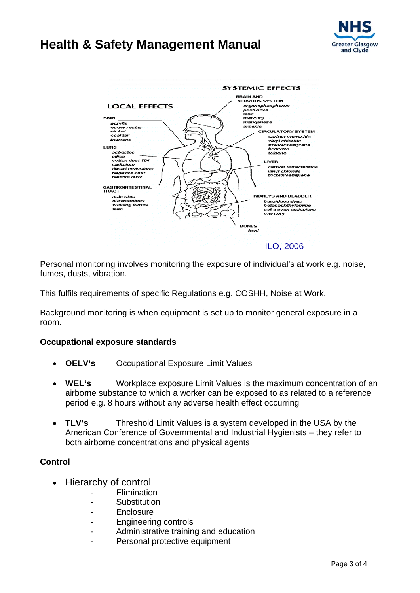### **Health & Safety Management Manual**





Personal monitoring involves monitoring the exposure of individual's at work e.g. noise, fumes, dusts, vibration.

This fulfils requirements of specific Regulations e.g. COSHH, Noise at Work.

Background monitoring is when equipment is set up to monitor general exposure in a room.

### **Occupational exposure standards**

- **OELV's** Occupational Exposure Limit Values
- **WEL's** Workplace exposure Limit Values is the maximum concentration of an airborne substance to which a worker can be exposed to as related to a reference period e.g. 8 hours without any adverse health effect occurring
- **TLV's** Threshold Limit Values is a system developed in the USA by the American Conference of Governmental and Industrial Hygienists – they refer to both airborne concentrations and physical agents

### **Control**

- Hierarchy of control
	- **Flimination**
	- Substitution
	- **Enclosure**
	- Engineering controls
	- Administrative training and education
	- Personal protective equipment